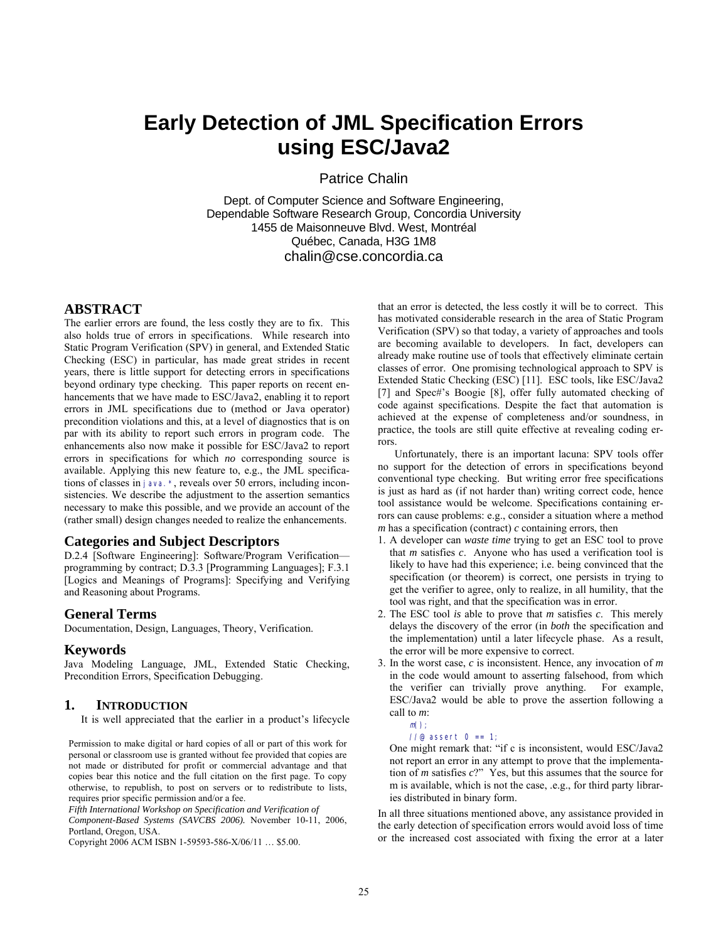# **Early Detection of JML Specification Errors using ESC/Java2**

Patrice Chalin

Dept. of Computer Science and Software Engineering, Dependable Software Research Group, Concordia University 1455 de Maisonneuve Blvd. West, Montréal Québec, Canada, H3G 1M8 chalin@cse.concordia.ca

# **ABSTRACT**

The earlier errors are found, the less costly they are to fix. This also holds true of errors in specifications. While research into Static Program Verification (SPV) in general, and Extended Static Checking (ESC) in particular, has made great strides in recent years, there is little support for detecting errors in specifications beyond ordinary type checking. This paper reports on recent enhancements that we have made to ESC/Java2, enabling it to report errors in JML specifications due to (method or Java operator) precondition violations and this, at a level of diagnostics that is on par with its ability to report such errors in program code. The enhancements also now make it possible for ESC/Java2 to report errors in specifications for which *no* corresponding source is available. Applying this new feature to, e.g., the JML specifications of classes in java.\*, reveals over 50 errors, including inconsistencies. We describe the adjustment to the assertion semantics necessary to make this possible, and we provide an account of the (rather small) design changes needed to realize the enhancements.

## **Categories and Subject Descriptors**

D.2.4 [Software Engineering]: Software/Program Verification programming by contract; D.3.3 [Programming Languages]; F.3.1 [Logics and Meanings of Programs]: Specifying and Verifying and Reasoning about Programs.

## **General Terms**

Documentation, Design, Languages, Theory, Verification.

#### **Keywords**

Java Modeling Language, JML, Extended Static Checking, Precondition Errors, Specification Debugging.

## **1. INTRODUCTION**

It is well appreciated that the earlier in a product's lifecycle

Permission to make digital or hard copies of all or part of this work for personal or classroom use is granted without fee provided that copies are not made or distributed for profit or commercial advantage and that copies bear this notice and the full citation on the first page. To copy otherwise, to republish, to post on servers or to redistribute to lists, requires prior specific permission and/or a fee.

*Fifth International Workshop on Specification and Verification of Component-Based Systems (SAVCBS 2006).* November 10-11, 2006,

Portland, Oregon, USA.

Copyright 2006 ACM ISBN 1-59593-586-X/06/11 … \$5.00.

that an error is detected, the less costly it will be to correct. This has motivated considerable research in the area of Static Program Verification (SPV) so that today, a variety of approaches and tools are becoming available to developers. In fact, developers can already make routine use of tools that effectively eliminate certain classes of error. One promising technological approach to SPV is Extended Static Checking (ESC) [11]. ESC tools, like ESC/Java2 [7] and Spec#'s Boogie [8], offer fully automated checking of code against specifications. Despite the fact that automation is achieved at the expense of completeness and/or soundness, in practice, the tools are still quite effective at revealing coding errors.

Unfortunately, there is an important lacuna: SPV tools offer no support for the detection of errors in specifications beyond conventional type checking. But writing error free specifications is just as hard as (if not harder than) writing correct code, hence tool assistance would be welcome. Specifications containing errors can cause problems: e.g., consider a situation where a method  $m$  has a specification (contract)  $c$  containing errors, then

- 1. A developer can *waste time* trying to get an ESC tool to prove that *m* satisfies *c*. Anyone who has used a verification tool is likely to have had this experience; i.e. being convinced that the specification (or theorem) is correct, one persists in trying to get the verifier to agree, only to realize, in all humility, that the tool was right, and that the specification was in error.
- 2. The ESC tool *is* able to prove that *m* satisfies *c*. This merely delays the discovery of the error (in *both* the specification and the implementation) until a later lifecycle phase. As a result, the error will be more expensive to correct.
- 3. In the worst case, *c* is inconsistent. Hence, any invocation of *m* in the code would amount to asserting falsehood, from which the verifier can trivially prove anything. For example, ESC/Java2 would be able to prove the assertion following a call to *m*:

 $//@$  assert  $0 == 1;$ 

 $m()$ 

One might remark that: "if c is inconsistent, would ESC/Java2 not report an error in any attempt to prove that the implementation of *m* satisfies *c*?" Yes, but this assumes that the source for m is available, which is not the case, .e.g., for third party libraries distributed in binary form.

In all three situations mentioned above, any assistance provided in the early detection of specification errors would avoid loss of time or the increased cost associated with fixing the error at a later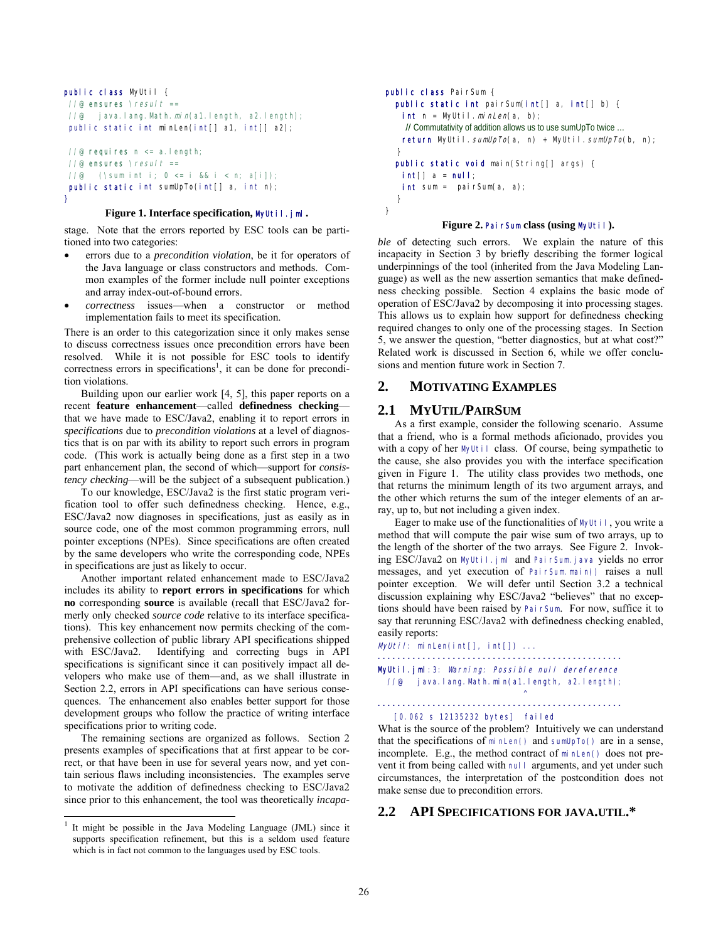```
public class MyUtil {
//@ ensures \text{Yesul } t ==\frac{1}{e} java.lang. Math. min(a1.length, a2.length);
public static int minLen(int[] a1, int[] a2);
1/e requires n \le a. length;
```

```
//@ ensures \resul t ==
//@ (\sum int i; 0 <= i && i < n; a[i]);
public static int sumUpTo(int[] a, int n);
}
```
## **Figure 1. Interface specification,** MyUtil.jml**.**

stage. Note that the errors reported by ESC tools can be partitioned into two categories:

- errors due to a *precondition violation*, be it for operators of the Java language or class constructors and methods. Common examples of the former include null pointer exceptions and array index-out-of-bound errors.
- *correctness* issues—when a constructor or method implementation fails to meet its specification.

There is an order to this categorization since it only makes sense to discuss correctness issues once precondition errors have been resolved. While it is not possible for ESC tools to identify correctness errors in specifications<sup>1</sup>, it can be done for precondition violations.

Building upon our earlier work [4, 5], this paper reports on a recent **feature enhancement**—called **definedness checking** that we have made to ESC/Java2, enabling it to report errors in *specifications* due to *precondition violations* at a level of diagnostics that is on par with its ability to report such errors in program code. (This work is actually being done as a first step in a two part enhancement plan, the second of which—support for *consistency checking*—will be the subject of a subsequent publication.)

To our knowledge, ESC/Java2 is the first static program verification tool to offer such definedness checking. Hence, e.g., ESC/Java2 now diagnoses in specifications, just as easily as in source code, one of the most common programming errors, null pointer exceptions (NPEs). Since specifications are often created by the same developers who write the corresponding code, NPEs in specifications are just as likely to occur.

Another important related enhancement made to ESC/Java2 includes its ability to **report errors in specifications** for which **no** corresponding **source** is available (recall that ESC/Java2 formerly only checked *source code* relative to its interface specifications). This key enhancement now permits checking of the comprehensive collection of public library API specifications shipped with ESC/Java2. Identifying and correcting bugs in API specifications is significant since it can positively impact all developers who make use of them—and, as we shall illustrate in Section 2.2, errors in API specifications can have serious consequences. The enhancement also enables better support for those development groups who follow the practice of writing interface specifications prior to writing code.

The remaining sections are organized as follows. Section 2 presents examples of specifications that at first appear to be correct, or that have been in use for several years now, and yet contain serious flaws including inconsistencies. The examples serve to motivate the addition of definedness checking to ESC/Java2 since prior to this enhancement, the tool was theoretically *incapa-*

1

```
public class PairSum {
   public static int pairSum(int[] a, int[] b) {
   int n = MyUtil.minLen(a, b); // Commutativity of addition allows us to use sumUpTo twice …
   return MyUtil.sumUpTo(a, n) + MyUtil.sumUpTo(b, n);
 }
   public static void main(String[] args) {
   int[] a = null;int sum = pairSum(a, a);
   }
}
```
## **Figure 2.** PairSum **class (using** MyUtil**).**

*ble* of detecting such errors. We explain the nature of this incapacity in Section 3 by briefly describing the former logical underpinnings of the tool (inherited from the Java Modeling Language) as well as the new assertion semantics that make definedness checking possible. Section 4 explains the basic mode of operation of ESC/Java2 by decomposing it into processing stages. This allows us to explain how support for definedness checking required changes to only one of the processing stages. In Section 5, we answer the question, "better diagnostics, but at what cost?" Related work is discussed in Section 6, while we offer conclusions and mention future work in Section 7.

# **2. MOTIVATING EXAMPLES**

## **2.1 MYUTIL/PAIRSUM**

As a first example, consider the following scenario. Assume that a friend, who is a formal methods aficionado, provides you with a copy of her MyUtil class. Of course, being sympathetic to the cause, she also provides you with the interface specification given in Figure 1. The utility class provides two methods, one that returns the minimum length of its two argument arrays, and the other which returns the sum of the integer elements of an array, up to, but not including a given index.

Eager to make use of the functionalities of MyUtil, you write a method that will compute the pair wise sum of two arrays, up to the length of the shorter of the two arrays. See Figure 2. Invoking ESC/Java2 on MyUtil.jml and PairSum.java yields no error messages, and yet execution of PairSum.main() raises a null pointer exception. We will defer until Section 3.2 a technical discussion explaining why ESC/Java2 "believes" that no exceptions should have been raised by PairSum. For now, suffice it to say that rerunning ESC/Java2 with definedness checking enabled, easily reports:

 $MyUtil$ : minLen(int[], int[]) ...

------------------------------------------------- MyUtil.jml:3: Warning: Possible null dereference //@ java.lang.Math.min(a1.length, a2.length);

```
\mathcal{L}^{\mathcal{L}} and \mathcal{L}^{\mathcal{L}} and \mathcal{L}^{\mathcal{L}} and \mathcal{L}^{\mathcal{L}}-------------------------------------------------
```
[0.062 s 12135232 bytes] failed

What is the source of the problem? Intuitively we can understand that the specifications of minLen() and sumUpTo() are in a sense, incomplete. E.g., the method contract of minLen() does not prevent it from being called with null arguments, and yet under such circumstances, the interpretation of the postcondition does not make sense due to precondition errors.

# **2.2 API SPECIFICATIONS FOR JAVA.UTIL.\***

<sup>1</sup> It might be possible in the Java Modeling Language (JML) since it supports specification refinement, but this is a seldom used feature which is in fact not common to the languages used by ESC tools.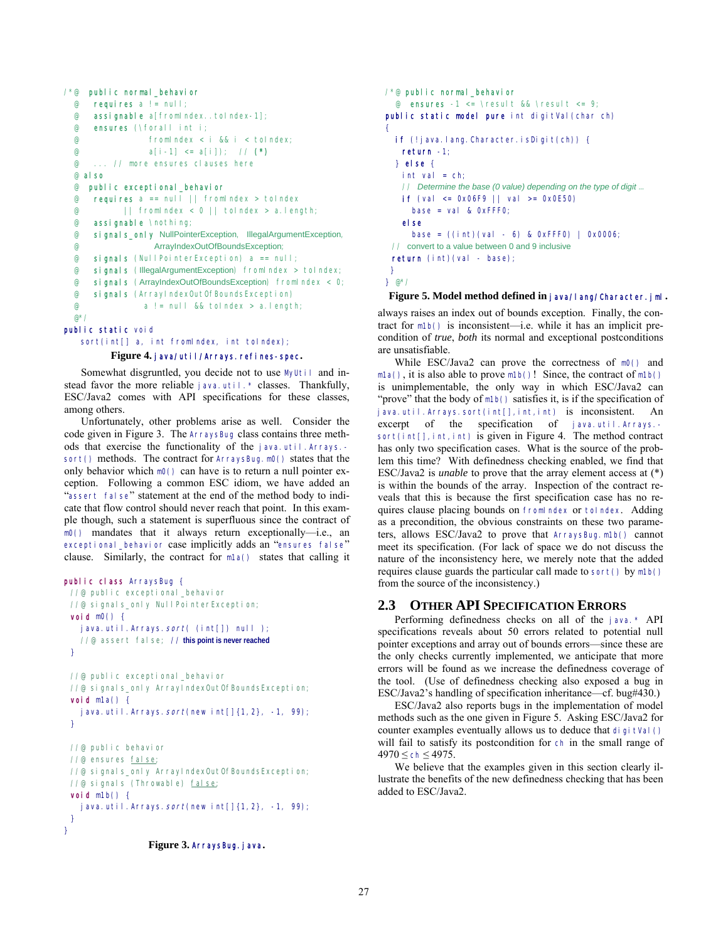```
/*@ public normal_behavior
    requires a := null; @ assignable a[fromIndex..toIndex-1]; 
  @ ensures (\forall int i; 
                  @ fromIndex < i && i < toIndex; 
 e a[i-1] <= a[i]); // (*)
  @ ... // more ensures clauses here 
  @ also
  @ public exceptional_behavior
  @ requires a == null || fromIndex > toIndex 
  @ || fromIndex < 0 || toIndex > a.length; 
  @ assignable \nothing; 
  @ signals_only NullPointerException, IllegalArgumentException, 
  @ ArrayIndexOutOfBoundsException; 
 \circ signals (NullPointerException) a == null;
  @ signals (IllegalArgumentException) fromIndex > toIndex; 
  @ signals (ArrayIndexOutOfBoundsException) fromIndex < 0; 
  @ signals (ArrayIndexOutOfBoundsException) 
                a != null && toIndex > a.length;
  @*/ 
public static void
```
 sort(int[] a, int fromIndex, int toIndex); **Figure 4.** java/util/Arrays.refines-spec**.** 

Somewhat disgruntled, you decide not to use MyUtil and instead favor the more reliable java.util. \* classes. Thankfully, ESC/Java2 comes with API specifications for these classes, among others.

Unfortunately, other problems arise as well. Consider the code given in Figure 3. The ArraysBug class contains three methods that exercise the functionality of the java.util.Arrays. sort() methods. The contract for ArraysBug.m0() states that the only behavior which m0() can have is to return a null pointer exception. Following a common ESC idiom, we have added an "assert false" statement at the end of the method body to indicate that flow control should never reach that point. In this example though, such a statement is superfluous since the contract of m0() mandates that it always return exceptionally—i.e., an exceptional \_behavior case implicitly adds an "ensures false" clause. Similarly, the contract for m1a() states that calling it

```
public class ArraysBug {
 //@ public exceptional_behavior
 //@ signals_only NullPointerException;
 void m0() { 
   java.util.Arrays.sort( (int[]) null );
    //@ assert false; // this point is never reached
  } 
 //@ public exceptional_behavior
 //@ signals_only ArrayIndexOutOfBoundsException;
 void m1a() \{java.util.Arrays.sort(new int[]{1,2}, -1, 99);
  } 
 //@ public behavior
 //@ ensures false;
 //@ signals_only ArrayIndexOutOfBoundsException;
 //@ signals (Throwable) false;
 void m1b() { 
   java.util.Arrays.sort(new int[]\{1, 2\}, -1, 99);
  } 
}
```
/\*@ public normal\_behavior @ ensures  $-1 \le \text{result}$  && \result  $\le 9$ ; public static model pure int digitVal (char ch) { if (!java.lang.Character.isDigit(ch)) { return -1; } else {  $int val = ch;$  // *Determine the base (0 value) depending on the type of digit* … **if** (val  $\leq$  0x06F9 || val  $\geq$  0x0E50) base = val &  $0x$ FFF $0$ ; else base = ((int)(val - 6) & 0xFFF0) | 0x0006; // convert to a value between 0 and 9 inclusive return (int)(val - base); } } @\*/

# **Figure 5. Model method defined in** java/lang/Character.jml**.**

always raises an index out of bounds exception. Finally, the contract for m1b() is inconsistent—i.e. while it has an implicit precondition of *true*, *both* its normal and exceptional postconditions are unsatisfiable.

While ESC/Java2 can prove the correctness of m0() and m1a(), it is also able to prove m1b()! Since, the contract of m1b() is unimplementable, the only way in which ESC/Java2 can "prove" that the body of  $m1b()$  satisfies it, is if the specification of java.util.Arrays.sort(int[],int,int) is inconsistent. An excerpt of the specification of java.util.Arrays.sort(int[], int, int) is given in Figure 4. The method contract has only two specification cases. What is the source of the problem this time? With definedness checking enabled, we find that ESC/Java2 is *unable* to prove that the array element access at (\*) is within the bounds of the array. Inspection of the contract reveals that this is because the first specification case has no requires clause placing bounds on fromIndex or toIndex. Adding as a precondition, the obvious constraints on these two parameters, allows ESC/Java2 to prove that ArraysBug.m1b() cannot meet its specification. (For lack of space we do not discuss the nature of the inconsistency here, we merely note that the added requires clause guards the particular call made to sort() by m1b() from the source of the inconsistency.)

## **2.3 OTHER API SPECIFICATION ERRORS**

Performing definedness checks on all of the java.\* API specifications reveals about 50 errors related to potential null pointer exceptions and array out of bounds errors—since these are the only checks currently implemented, we anticipate that more errors will be found as we increase the definedness coverage of the tool. (Use of definedness checking also exposed a bug in ESC/Java2's handling of specification inheritance—cf. bug#430.)

ESC/Java2 also reports bugs in the implementation of model methods such as the one given in Figure 5. Asking ESC/Java2 for counter examples eventually allows us to deduce that digitVal() will fail to satisfy its postcondition for ch in the small range of  $4970 \le ch \le 4975$ .

We believe that the examples given in this section clearly illustrate the benefits of the new definedness checking that has been added to ESC/Java2.

**Figure 3.** ArraysBug.java**.**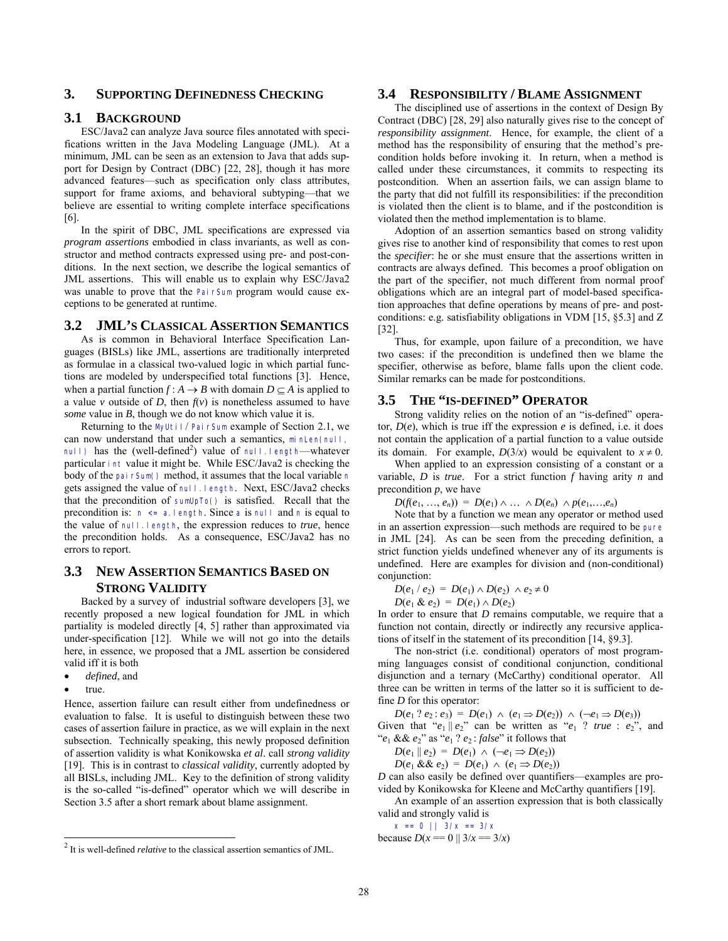# **3. SUPPORTING DEFINEDNESS CHECKING**

## **3.1 BACKGROUND**

ESC/Java2 can analyze Java source files annotated with specifications written in the Java Modeling Language (JML). At a minimum, JML can be seen as an extension to Java that adds support for Design by Contract (DBC) [22, 28], though it has more advanced features—such as specification only class attributes, support for frame axioms, and behavioral subtyping—that we believe are essential to writing complete interface specifications [6].

In the spirit of DBC, JML specifications are expressed via *program assertions* embodied in class invariants, as well as constructor and method contracts expressed using pre- and post-conditions. In the next section, we describe the logical semantics of JML assertions. This will enable us to explain why ESC/Java2 was unable to prove that the PairSum program would cause exceptions to be generated at runtime.

## **3.2 JML'S CLASSICAL ASSERTION SEMANTICS**

As is common in Behavioral Interface Specification Languages (BISLs) like JML, assertions are traditionally interpreted as formulae in a classical two-valued logic in which partial functions are modeled by underspecified total functions [3]. Hence, when a partial function  $f : A \to B$  with domain  $D \subset A$  is applied to a value *v* outside of *D*, then  $f(v)$  is nonetheless assumed to have *some* value in *B*, though we do not know which value it is.

Returning to the MyUtil/ PairSum example of Section 2.1, we can now understand that under such a semantics, minLen(null, null) has the (well-defined<sup>2</sup>) value of null.length—whatever particular int value it might be. While ESC/Java2 is checking the body of the pairSum() method, it assumes that the local variable n gets assigned the value of null.length. Next, ESC/Java2 checks that the precondition of sumUpTo() is satisfied. Recall that the precondition is: n <= a.length. Since a is null and n is equal to the value of null.length, the expression reduces to *true*, hence the precondition holds. As a consequence, ESC/Java2 has no errors to report.

# **3.3 NEW ASSERTION SEMANTICS BASED ON STRONG VALIDITY**

Backed by a survey of industrial software developers [3], we recently proposed a new logical foundation for JML in which partiality is modeled directly [4, 5] rather than approximated via under-specification [12]. While we will not go into the details here, in essence, we proposed that a JML assertion be considered valid iff it is both

- *defined*, and
- true.

1

Hence, assertion failure can result either from undefinedness or evaluation to false. It is useful to distinguish between these two cases of assertion failure in practice, as we will explain in the next subsection. Technically speaking, this newly proposed definition of assertion validity is what Konikowska *et al*. call *strong validity* [19]. This is in contrast to *classical validity*, currently adopted by all BISLs, including JML. Key to the definition of strong validity is the so-called "is-defined" operator which we will describe in Section 3.5 after a short remark about blame assignment.

## **3.4 RESPONSIBILITY / BLAME ASSIGNMENT**

The disciplined use of assertions in the context of Design By Contract (DBC) [28, 29] also naturally gives rise to the concept of *responsibility assignment*. Hence, for example, the client of a method has the responsibility of ensuring that the method's precondition holds before invoking it. In return, when a method is called under these circumstances, it commits to respecting its postcondition. When an assertion fails, we can assign blame to the party that did not fulfill its responsibilities: if the precondition is violated then the client is to blame, and if the postcondition is violated then the method implementation is to blame.

Adoption of an assertion semantics based on strong validity gives rise to another kind of responsibility that comes to rest upon the *specifier*: he or she must ensure that the assertions written in contracts are always defined. This becomes a proof obligation on the part of the specifier, not much different from normal proof obligations which are an integral part of model-based specification approaches that define operations by means of pre- and postconditions: e.g. satisfiability obligations in VDM [15, §5.3] and Z [32].

Thus, for example, upon failure of a precondition, we have two cases: if the precondition is undefined then we blame the specifier, otherwise as before, blame falls upon the client code. Similar remarks can be made for postconditions.

# **3.5 THE "IS-DEFINED" OPERATOR**

Strong validity relies on the notion of an "is-defined" operator,  $D(e)$ , which is true iff the expression  $e$  is defined, i.e. it does not contain the application of a partial function to a value outside its domain. For example,  $D(3/x)$  would be equivalent to  $x \ne 0$ .

When applied to an expression consisting of a constant or a variable, *D* is *true*. For a strict function *f* having arity *n* and precondition *p*, we have

 $D(f(e_1, ..., e_n)) = D(e_1) \wedge ... \wedge D(e_n) \wedge p(e_1, ..., e_n)$ 

Note that by a function we mean any operator or method used in an assertion expression—such methods are required to be pure in JML [24]. As can be seen from the preceding definition, a strict function yields undefined whenever any of its arguments is undefined. Here are examples for division and (non-conditional) conjunction:

*D*( $e_1$  /  $e_2$ ) = *D*( $e_1$ ) ∧ *D*( $e_2$ ) ∧  $e_2 \neq 0$ 

$$
D(e_1 \& e_2) = D(e_1) \wedge D(e_2)
$$

In order to ensure that *D* remains computable, we require that a function not contain, directly or indirectly any recursive applications of itself in the statement of its precondition [14, §9.3].

The non-strict (i.e. conditional) operators of most programming languages consist of conditional conjunction, conditional disjunction and a ternary (McCarthy) conditional operator. All three can be written in terms of the latter so it is sufficient to define *D* for this operator:

*D*(*e*<sub>1</sub> ? *e*<sub>2</sub> : *e*<sub>3</sub>) = *D*(*e*<sub>1</sub>) ∧ (*e*<sub>1</sub> ⇒ *D*(*e*<sub>2</sub>)) ∧ (¬*e*<sub>1</sub> ⇒ *D*(*e*<sub>3</sub>)) Given that " $e_1 || e_2$ " can be written as " $e_1$  ? *true* :  $e_2$ ", and " $e_1$  &&  $e_2$ " as " $e_1$  ?  $e_2$ : *false*" it follows that

$$
D(e_1 \parallel e_2) = D(e_1) \land (\neg e_1 \Rightarrow D(e_2))
$$

*D*( $e_1$  &&  $e_2$ ) = *D*( $e_1$ ) ∧ ( $e_1$  ⇒ *D*( $e_2$ ))

*D* can also easily be defined over quantifiers—examples are provided by Konikowska for Kleene and McCarthy quantifiers [19].

An example of an assertion expression that is both classically valid and strongly valid is

$$
x == 0 || 3/x == 3/x
$$
  
because  $D(x == 0 || 3/x == 3/x)$ 

<sup>2</sup> It is well-defined *relative* to the classical assertion semantics of JML.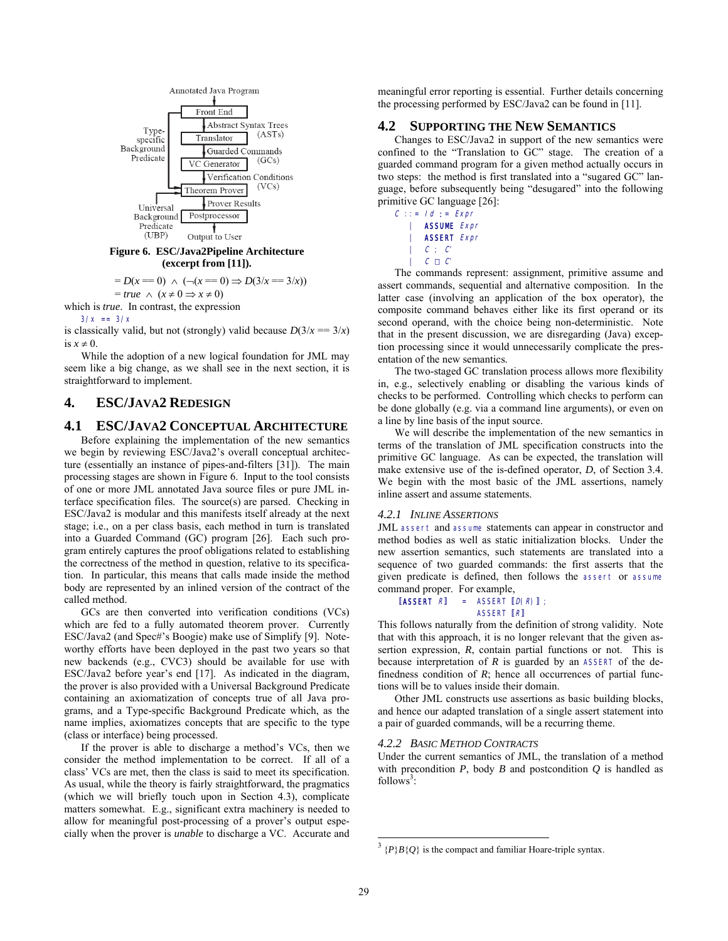

#### **Figure 6. ESC/Java2Pipeline Architecture (excerpt from [11]).**

$$
= D(x = 0) \land (- (x == 0) \Rightarrow D(3/x == 3/x))
$$
  
= true \land (x ≠ 0 ⇒ x ≠ 0)

which is *true*. In contrast, the expression

 $3/x == 3/x$ 

is classically valid, but not (strongly) valid because  $D(3/x = 3/x)$ is  $x \neq 0$ .

While the adoption of a new logical foundation for JML may seem like a big change, as we shall see in the next section, it is straightforward to implement.

# **4. ESC/JAVA2 REDESIGN**

## **4.1 ESC/JAVA2 CONCEPTUAL ARCHITECTURE**

Before explaining the implementation of the new semantics we begin by reviewing ESC/Java2's overall conceptual architecture (essentially an instance of pipes-and-filters [31]). The main processing stages are shown in Figure 6. Input to the tool consists of one or more JML annotated Java source files or pure JML interface specification files. The source(s) are parsed. Checking in ESC/Java2 is modular and this manifests itself already at the next stage; i.e., on a per class basis, each method in turn is translated into a Guarded Command (GC) program [26]. Each such program entirely captures the proof obligations related to establishing the correctness of the method in question, relative to its specification. In particular, this means that calls made inside the method body are represented by an inlined version of the contract of the called method.

GCs are then converted into verification conditions (VCs) which are fed to a fully automated theorem prover. Currently ESC/Java2 (and Spec#'s Boogie) make use of Simplify [9]. Noteworthy efforts have been deployed in the past two years so that new backends (e.g., CVC3) should be available for use with ESC/Java2 before year's end [17]. As indicated in the diagram, the prover is also provided with a Universal Background Predicate containing an axiomatization of concepts true of all Java programs, and a Type-specific Background Predicate which, as the name implies, axiomatizes concepts that are specific to the type (class or interface) being processed.

If the prover is able to discharge a method's VCs, then we consider the method implementation to be correct. If all of a class' VCs are met, then the class is said to meet its specification. As usual, while the theory is fairly straightforward, the pragmatics (which we will briefly touch upon in Section 4.3), complicate matters somewhat. E.g., significant extra machinery is needed to allow for meaningful post-processing of a prover's output especially when the prover is *unable* to discharge a VC. Accurate and meaningful error reporting is essential. Further details concerning the processing performed by ESC/Java2 can be found in [11].

# **4.2 SUPPORTING THE NEW SEMANTICS**

Changes to ESC/Java2 in support of the new semantics were confined to the "Translation to GC" stage. The creation of a guarded command program for a given method actually occurs in two steps: the method is first translated into a "sugared GC" language, before subsequently being "desugared" into the following primitive GC language [26]:

$$
C :: = Id := Expr
$$
  
\n| **ASSUME** *Expr*  
\n| **ASSERT** *Expr*  
\n| *C* ; *C*  
\n| *C*  $\square$  *C*

The commands represent: assignment, primitive assume and assert commands, sequential and alternative composition. In the latter case (involving an application of the box operator), the composite command behaves either like its first operand or its second operand, with the choice being non-deterministic. Note that in the present discussion, we are disregarding (Java) exception processing since it would unnecessarily complicate the presentation of the new semantics.

The two-staged GC translation process allows more flexibility in, e.g., selectively enabling or disabling the various kinds of checks to be performed. Controlling which checks to perform can be done globally (e.g. via a command line arguments), or even on a line by line basis of the input source.

We will describe the implementation of the new semantics in terms of the translation of JML specification constructs into the primitive GC language. As can be expected, the translation will make extensive use of the is-defined operator, *D*, of Section 3.4. We begin with the most basic of the JML assertions, namely inline assert and assume statements.

## *4.2.1 INLINE ASSERTIONS*

JML assert and assume statements can appear in constructor and method bodies as well as static initialization blocks. Under the new assertion semantics, such statements are translated into a sequence of two guarded commands: the first asserts that the given predicate is defined, then follows the assert or assume command proper. For example,

[ASSERT 
$$
R
$$
] = ASSENT  $[D(R)]$ ;  
ASSERT  $[R]$ 

This follows naturally from the definition of strong validity. Note that with this approach, it is no longer relevant that the given assertion expression, *R*, contain partial functions or not. This is because interpretation of *R* is guarded by an ASSERT of the definedness condition of  $R$ ; hence all occurrences of partial functions will be to values inside their domain.

Other JML constructs use assertions as basic building blocks, and hence our adapted translation of a single assert statement into a pair of guarded commands, will be a recurring theme.

## *4.2.2 BASIC METHOD CONTRACTS*

Under the current semantics of JML, the translation of a method with precondition  $P$ , body  $B$  and postcondition  $Q$  is handled as follows<sup>3</sup>:

 $\frac{3}{\{P\}B\{Q\}}$  is the compact and familiar Hoare-triple syntax.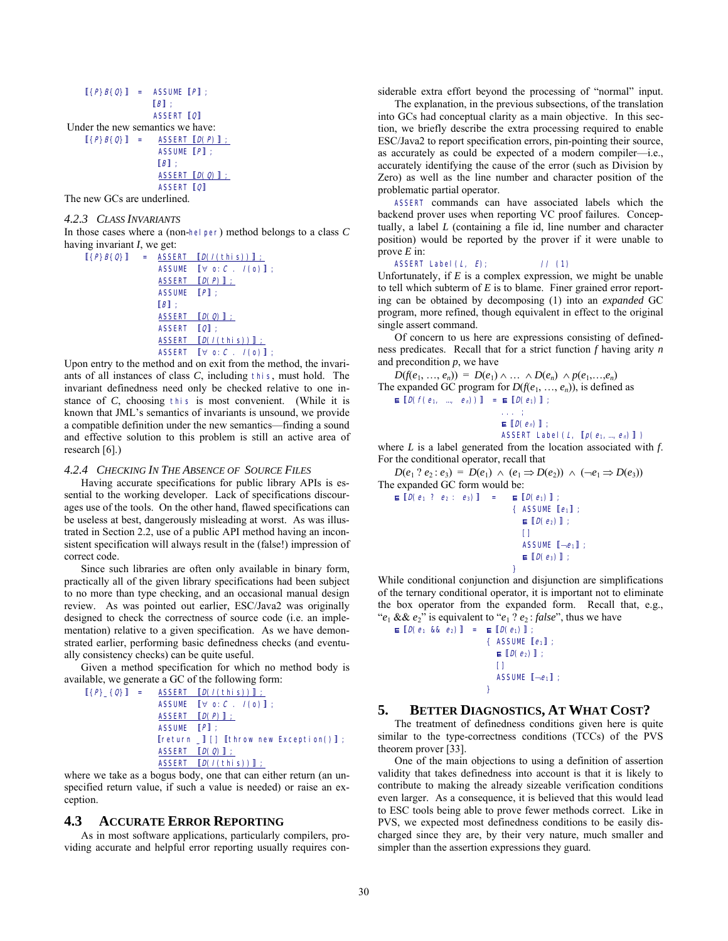$$
[\{P\}B(Q)\] = \begin{array}{c} \text{ASSUME} [P] ; \\ [B] ; \\ [C] \end{array}
$$
\nUnder the new semantics we have:

\n
$$
[\{P\}B(Q)\] = \begin{array}{c} \text{ASSERT} [Q(P)] ; \\ \text{ASSUME} [P] ; \\ [B] ; \\ \text{ASSUME} [P] ; \\ \text{ASSENT} [Q(Q)] ; \\ \text{ASSERT} [Q] \end{array}
$$

The new GCs are underlined.

#### *4.2.3 CLASS INVARIANTS*

In those cases where a (non-helper) method belongs to a class C having invariant *I*, we get:

$$
[(P)B(Q)] = \underbrace{ASSET} [D(I(this))]:
$$
  
\nASSUME  $[\forall$  o: C.  $I(o)]$ ;  
\nASSENT  $[D(P)]$ ;  
\nASSUNE  $[P]$ ;  
\n $[B]$ ;  
\nASSERT  $[D(Q)]$ ;  
\nASSERT  $[Q]$ ;  
\nASSERT  $[D(I(this))]$ ;  
\nASSERT  $[\forall$  o: C.  $I(o)]$ ;

Upon entry to the method and on exit from the method, the invariants of all instances of class *C*, including this, must hold. The invariant definedness need only be checked relative to one instance of *C*, choosing this is most convenient. (While it is known that JML's semantics of invariants is unsound, we provide a compatible definition under the new semantics—finding a sound and effective solution to this problem is still an active area of research [6].)

#### *4.2.4 CHECKING IN THE ABSENCE OF SOURCE FILES*

Having accurate specifications for public library APIs is essential to the working developer. Lack of specifications discourages use of the tools. On the other hand, flawed specifications can be useless at best, dangerously misleading at worst. As was illustrated in Section 2.2, use of a public API method having an inconsistent specification will always result in the (false!) impression of correct code.

Since such libraries are often only available in binary form, practically all of the given library specifications had been subject to no more than type checking, and an occasional manual design review. As was pointed out earlier, ESC/Java2 was originally designed to check the correctness of source code (i.e. an implementation) relative to a given specification. As we have demonstrated earlier, performing basic definedness checks (and eventually consistency checks) can be quite useful.

Given a method specification for which no method body is available, we generate a GC of the following form:

$$
[\{P\}_{\{Q\}}] = \underbrace{\text{ASSENT} [\mathcal{D}(I(\text{this}))] :}_{\text{ASSUME} [\forall \text{ o: } C \ . \ I(\text{o})] ;}
$$
\n
$$
\underbrace{\text{ASSENT} [\mathcal{D}(P)] :}_{\text{ASSUME} [\{P\} \ ;}
$$
\n
$$
\underbrace{[\text{return } \ ] \ []\ [\text{throw new Exception()}] :}_{\text{ASSERT} [\mathcal{D}(Q)] :}
$$
\n
$$
\underbrace{\text{ASSET} [\mathcal{D}(Q)] :}_{\text{ASSERT} [\mathcal{D}(I(\text{this}))] :}
$$

where we take as a bogus body, one that can either return (an unspecified return value, if such a value is needed) or raise an exception.

## **4.3 ACCURATE ERROR REPORTING**

As in most software applications, particularly compilers, providing accurate and helpful error reporting usually requires considerable extra effort beyond the processing of "normal" input.

The explanation, in the previous subsections, of the translation into GCs had conceptual clarity as a main objective. In this section, we briefly describe the extra processing required to enable ESC/Java2 to report specification errors, pin-pointing their source, as accurately as could be expected of a modern compiler—i.e., accurately identifying the cause of the error (such as Division by Zero) as well as the line number and character position of the problematic partial operator.

ASSERT commands can have associated labels which the backend prover uses when reporting VC proof failures. Conceptually, a label *L* (containing a file id, line number and character position) would be reported by the prover if it were unable to prove *E* in:

ASSERT Label  $(L, E)$ ;  $//(1)$ 

Unfortunately, if  $E$  is a complex expression, we might be unable to tell which subterm of *E* is to blame. Finer grained error reporting can be obtained by decomposing (1) into an *expanded* GC program, more refined, though equivalent in effect to the original single assert command.

Of concern to us here are expressions consisting of definedness predicates. Recall that for a strict function *f* having arity *n* and precondition *p*, we have

 $D(f(e_1, ..., e_n)) = D(e_1) \wedge ... \wedge D(e_n) \wedge p(e_1, ..., e_n)$ The expanded GC program for  $D(f(e_1, ..., e_n))$ , is defined as  $\mathbf{E} \left[ D(f(e_1, ..., e_n)) \right] = \mathbf{E} \left[ D(e_1) \right];$ ... ;

```
\mathbf{E} [D(e_n)];
```
ASSERT Label  $(L, \lbrack p(e_1, ..., e_n) \rbrack)$ where *L* is a label generated from the location associated with *f*.

For the conditional operator, recall that

*D*(*e*<sub>1</sub> ? *e*<sub>2</sub> : *e*<sub>3</sub>) = *D*(*e*<sub>1</sub>) ∧ (*e*<sub>1</sub> ⇒ *D*(*e*<sub>2</sub>)) ∧ (¬*e*<sub>1</sub> ⇒ *D*(*e*<sub>3</sub>)) The expanded GC form would be:  $E[D(e_1 ? e_2 : e_3)] = E[D(e_1)]$ ;

{ ASSUME  $[e_1]$  ;  $\mathbf{E}$   $[D(e_2)]$ ; denotes the control of the control of the control of the control of the control of the control of the control of the control of the control of the control of the control of the control of the control of the control of the ASSUME  $[-e_1]$ ;  $\mathbf{E} \left[ D(e_3) \right] ;$ }

While conditional conjunction and disjunction are simplifications of the ternary conditional operator, it is important not to eliminate the box operator from the expanded form. Recall that, e.g., " $e_1$  &&  $e_2$ " is equivalent to " $e_1$  ?  $e_2$ : *false*", thus we have

 $\mathbf{E} \left[ D(e_1 \& k \cdot e_2) \right] = \mathbf{E} \left[ D(e_1) \right]$  ${$ *( ASSUME*  $[e_1]$  ;  $\mathbf{E}\left[\mathcal{D}(e_{2})\right]$  ; [] ASSUME  $[-e_1]$ ; }

## **5. BETTER DIAGNOSTICS, AT WHAT COST?**

The treatment of definedness conditions given here is quite similar to the type-correctness conditions (TCCs) of the PVS theorem prover [33].

One of the main objections to using a definition of assertion validity that takes definedness into account is that it is likely to contribute to making the already sizeable verification conditions even larger. As a consequence, it is believed that this would lead to ESC tools being able to prove fewer methods correct. Like in PVS, we expected most definedness conditions to be easily discharged since they are, by their very nature, much smaller and simpler than the assertion expressions they guard.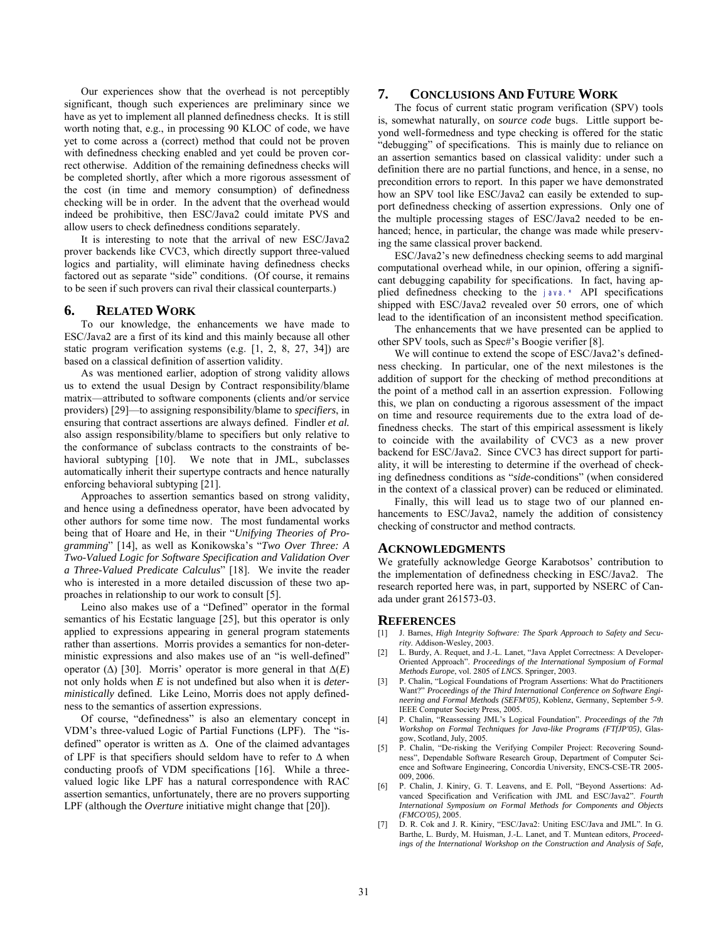Our experiences show that the overhead is not perceptibly significant, though such experiences are preliminary since we have as yet to implement all planned definedness checks. It is still worth noting that, e.g., in processing 90 KLOC of code, we have yet to come across a (correct) method that could not be proven with definedness checking enabled and yet could be proven correct otherwise. Addition of the remaining definedness checks will be completed shortly, after which a more rigorous assessment of the cost (in time and memory consumption) of definedness checking will be in order. In the advent that the overhead would indeed be prohibitive, then ESC/Java2 could imitate PVS and allow users to check definedness conditions separately.

It is interesting to note that the arrival of new ESC/Java2 prover backends like CVC3, which directly support three-valued logics and partiality, will eliminate having definedness checks factored out as separate "side" conditions. (Of course, it remains to be seen if such provers can rival their classical counterparts.)

### **6. RELATED WORK**

To our knowledge, the enhancements we have made to ESC/Java2 are a first of its kind and this mainly because all other static program verification systems (e.g. [1, 2, 8, 27, 34]) are based on a classical definition of assertion validity.

As was mentioned earlier, adoption of strong validity allows us to extend the usual Design by Contract responsibility/blame matrix—attributed to software components (clients and/or service providers) [29]—to assigning responsibility/blame to *specifiers*, in ensuring that contract assertions are always defined. Findler *et al.* also assign responsibility/blame to specifiers but only relative to the conformance of subclass contracts to the constraints of behavioral subtyping [10]. We note that in JML, subclasses automatically inherit their supertype contracts and hence naturally enforcing behavioral subtyping [21].

Approaches to assertion semantics based on strong validity, and hence using a definedness operator, have been advocated by other authors for some time now. The most fundamental works being that of Hoare and He, in their "*Unifying Theories of Programming*" [14], as well as Konikowska's "*Two Over Three: A Two-Valued Logic for Software Specification and Validation Over a Three-Valued Predicate Calculus*" [18]. We invite the reader who is interested in a more detailed discussion of these two approaches in relationship to our work to consult [5].

Leino also makes use of a "Defined" operator in the formal semantics of his Ecstatic language [25], but this operator is only applied to expressions appearing in general program statements rather than assertions. Morris provides a semantics for non-deterministic expressions and also makes use of an "is well-defined" operator (∆) [30]. Morris' operator is more general in that ∆(*E*) not only holds when *E* is not undefined but also when it is *deterministically* defined. Like Leino, Morris does not apply definedness to the semantics of assertion expressions.

Of course, "definedness" is also an elementary concept in VDM's three-valued Logic of Partial Functions (LPF). The "isdefined" operator is written as ∆. One of the claimed advantages of LPF is that specifiers should seldom have to refer to ∆ when conducting proofs of VDM specifications [16]. While a threevalued logic like LPF has a natural correspondence with RAC assertion semantics, unfortunately, there are no provers supporting LPF (although the *Overture* initiative might change that [20]).

## **7. CONCLUSIONS AND FUTURE WORK**

The focus of current static program verification (SPV) tools is, somewhat naturally, on *source code* bugs. Little support beyond well-formedness and type checking is offered for the static "debugging" of specifications. This is mainly due to reliance on an assertion semantics based on classical validity: under such a definition there are no partial functions, and hence, in a sense, no precondition errors to report. In this paper we have demonstrated how an SPV tool like ESC/Java2 can easily be extended to support definedness checking of assertion expressions. Only one of the multiple processing stages of ESC/Java2 needed to be enhanced; hence, in particular, the change was made while preserving the same classical prover backend.

ESC/Java2's new definedness checking seems to add marginal computational overhead while, in our opinion, offering a significant debugging capability for specifications. In fact, having applied definedness checking to the java.\* API specifications shipped with ESC/Java2 revealed over 50 errors, one of which lead to the identification of an inconsistent method specification.

The enhancements that we have presented can be applied to other SPV tools, such as Spec#'s Boogie verifier [8].

We will continue to extend the scope of ESC/Java2's definedness checking. In particular, one of the next milestones is the addition of support for the checking of method preconditions at the point of a method call in an assertion expression. Following this, we plan on conducting a rigorous assessment of the impact on time and resource requirements due to the extra load of definedness checks. The start of this empirical assessment is likely to coincide with the availability of CVC3 as a new prover backend for ESC/Java2. Since CVC3 has direct support for partiality, it will be interesting to determine if the overhead of checking definedness conditions as "*side*-conditions" (when considered in the context of a classical prover) can be reduced or eliminated.

Finally, this will lead us to stage two of our planned enhancements to ESC/Java2, namely the addition of consistency checking of constructor and method contracts.

#### **ACKNOWLEDGMENTS**

We gratefully acknowledge George Karabotsos' contribution to the implementation of definedness checking in ESC/Java2. The research reported here was, in part, supported by NSERC of Canada under grant 261573-03.

#### **REFERENCES**

- [1] J. Barnes, *High Integrity Software: The Spark Approach to Safety and Security*. Addison-Wesley, 2003.
- [2] L. Burdy, A. Requet, and J.-L. Lanet, "Java Applet Correctness: A Developer-Oriented Approach". *Proceedings of the International Symposium of Formal Methods Europe*, vol. 2805 of *LNCS*. Springer, 2003.
- [3] P. Chalin, "Logical Foundations of Program Assertions: What do Practitioners Want?" *Proceedings of the Third International Conference on Software Engineering and Formal Methods (SEFM'05)*, Koblenz, Germany, September 5-9. IEEE Computer Society Press, 2005.
- [4] P. Chalin, "Reassessing JML's Logical Foundation". *Proceedings of the 7th Workshop on Formal Techniques for Java-like Programs (FTfJP'05)*, Glasgow, Scotland, July, 2005.
- [5] P. Chalin, "De-risking the Verifying Compiler Project: Recovering Soundness", Dependable Software Research Group, Department of Computer Science and Software Engineering, Concordia University, ENCS-CSE-TR 2005- 009, 2006.
- [6] P. Chalin, J. Kiniry, G. T. Leavens, and E. Poll, "Beyond Assertions: Advanced Specification and Verification with JML and ESC/Java2". *Fourth International Symposium on Formal Methods for Components and Objects (FMCO'05)*, 2005.
- [7] D. R. Cok and J. R. Kiniry, "ESC/Java2: Uniting ESC/Java and JML". In G. Barthe, L. Burdy, M. Huisman, J.-L. Lanet, and T. Muntean editors, *Proceedings of the International Workshop on the Construction and Analysis of Safe,*